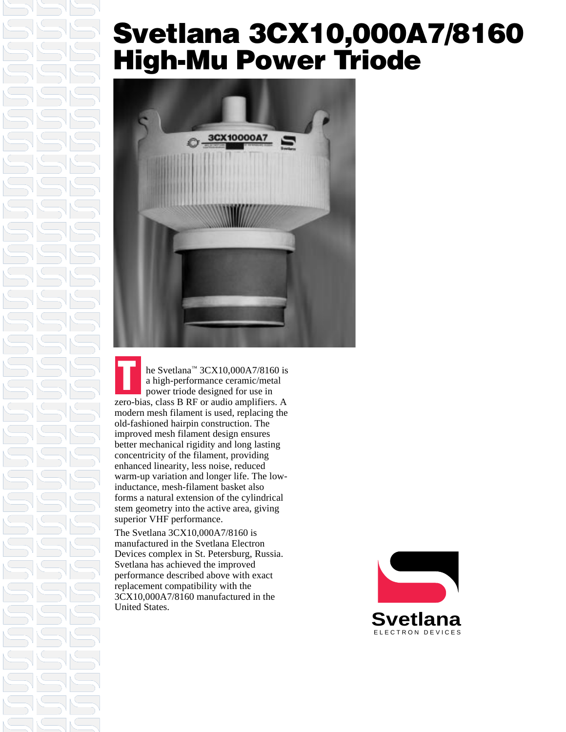### **Svetlana 3CX10,000A7/8160 High-Mu Power Triode**



he Svetlana™ 3CX10,000A7/8160 is a high-performance ceramic/metal power triode designed for use in zero-bias, class B RF or audio amplifiers. A modern mesh filament is used, replacing the old-fashioned hairpin construction. The improved mesh filament design ensures better mechanical rigidity and long lasting concentricity of the filament, providing enhanced linearity, less noise, reduced warm-up variation and longer life. The lowinductance, mesh-filament basket also forms a natural extension of the cylindrical stem geometry into the active area, giving superior VHF performance. **T**

The Svetlana 3CX10,000A7/8160 is manufactured in the Svetlana Electron Devices complex in St. Petersburg, Russia. Svetlana has achieved the improved performance described above with exact replacement compatibility with the 3CX10,000A7/8160 manufactured in the United States.

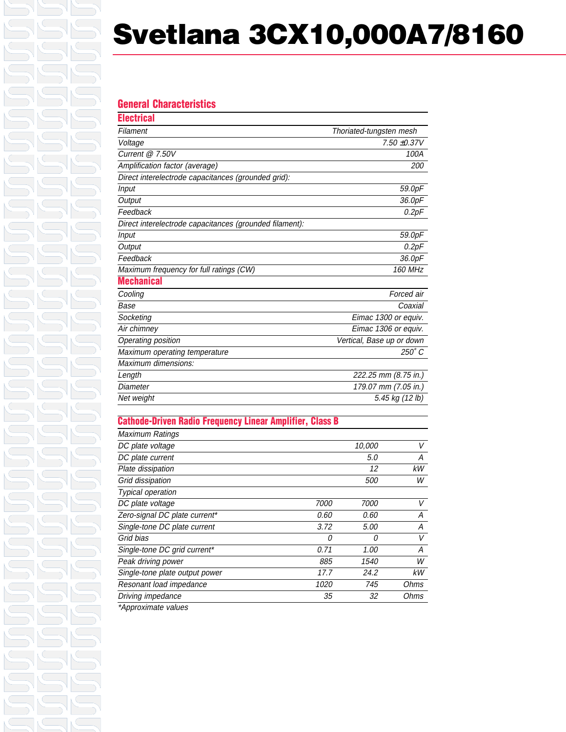# **Svetlana 3CX10,000A7/8160**

#### **General Characteristics Electrical**

| неникі                                                  |                           |
|---------------------------------------------------------|---------------------------|
| Filament                                                | Thoriated-tungsten mesh   |
| Voltage                                                 | 7.50 ±0.37V               |
| Current $@7.50V$                                        | 100A                      |
| Amplification factor (average)                          | 200                       |
| Direct interelectrode capacitances (grounded grid):     |                           |
| <b>Input</b>                                            | 59.0pF                    |
| Output                                                  | 36.0pF                    |
| Feedback                                                | 0.2pF                     |
| Direct interelectrode capacitances (grounded filament): |                           |
| <b>Input</b>                                            | 59.0pF                    |
| Output                                                  | 0.2pF                     |
| Feedback                                                | 36.0pF                    |
| Maximum frequency for full ratings (CW)                 | 160 MHz                   |
| <b>Mechanical</b>                                       |                           |
| Cooling                                                 | Forced air                |
| Base                                                    | Coaxial                   |
| Socketing                                               | Eimac 1300 or equiv.      |
| Air chimney                                             | Eimac 1306 or equiv.      |
| Operating position                                      | Vertical, Base up or down |
| Maximum operating temperature                           | 250° C                    |
| Maximum dimensions:                                     |                           |
| Length                                                  | 222.25 mm (8.75 in.)      |
| Diameter                                                | 179.07 mm (7.05 in.)      |
| Net weight                                              | 5.45 kg (12 lb)           |
|                                                         |                           |

### **Cathode-Driven Radio Frequency Linear Amplifier, Class B**

| Maximum Ratings                      |      |             |      |
|--------------------------------------|------|-------------|------|
| DC plate voltage                     |      | 10,000      | V    |
| DC plate current                     |      | 5.0         | А    |
| Plate dissipation                    |      | 12          | kW   |
| Grid dissipation                     |      | 500         | W    |
| <b>Typical operation</b>             |      |             |      |
| DC plate voltage                     | 7000 | 7000        | V    |
| Zero-signal DC plate current*        | 0.60 | 0.60        | А    |
| Single-tone DC plate current         | 3.72 | <i>5.00</i> | А    |
| Grid bias                            | 0    | 0           | V    |
| Single-tone DC grid current*         | 0.71 | 1.00        | А    |
| Peak driving power                   | 885  | 1540        | W    |
| Single-tone plate output power       | 17.7 | 24.2        | kW   |
| Resonant load impedance              | 1020 | 745         | Ohms |
| Driving impedance                    | 35   | 32          | Ohms |
| $*$ A a a a a colorador a contra a a |      |             |      |

\*Approximate values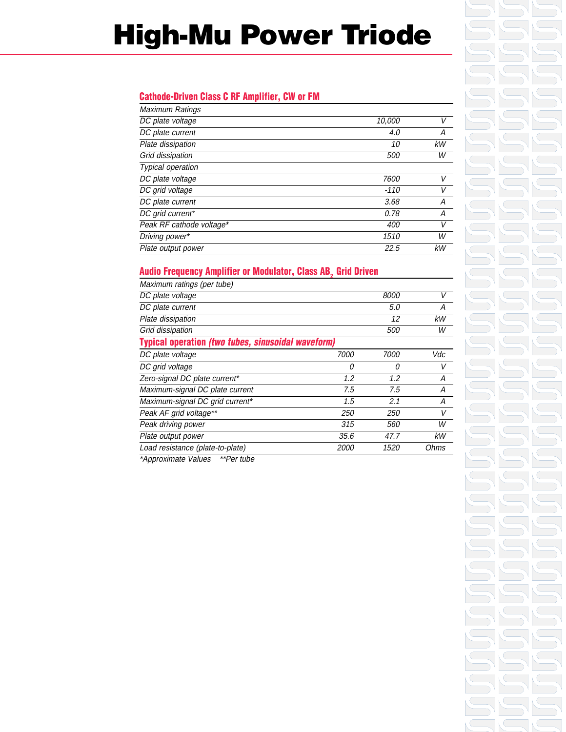## **High-Mu Power Triode**

### **Cathode-Driven Class C RF Amplifier, CW or FM**

| <b>Maximum Ratings</b>   |            |    |
|--------------------------|------------|----|
| DC plate voltage         | 10,000     | V  |
| DC plate current         | 4.0        | А  |
| Plate dissipation        | 10         | kW |
| Grid dissipation         | <i>500</i> | W  |
| <b>Typical operation</b> |            |    |
| DC plate voltage         | 7600       |    |
| DC grid voltage          | -110       | V  |
| DC plate current         | 3.68       | А  |
| DC grid current*         | 0.78       | А  |
| Peak RF cathode voltage* | 400        | V  |
| Driving power*           | 1510       | W  |
| Plate output power       | 22.5       | kW |

### **Audio Frequency Amplifier or Modulator, Class AB, Grid Driven**

| Maximum ratings (per tube)                                |             |      |      |  |
|-----------------------------------------------------------|-------------|------|------|--|
| DC plate voltage                                          |             | 8000 | V    |  |
| DC plate current                                          |             | 5.0  | A    |  |
| Plate dissipation                                         |             | 12   | kW   |  |
| Grid dissipation                                          |             | 500  | W    |  |
| <b>Typical operation (two tubes, sinusoidal waveform)</b> |             |      |      |  |
| DC plate voltage                                          | 7000        | 7000 | Vdc  |  |
| DC grid voltage                                           | 0           | 0    | V    |  |
| Zero-signal DC plate current*                             | 1.2         | 1.2  | А    |  |
| Maximum-signal DC plate current                           | 7.5         | 7.5  | Α    |  |
| Maximum-signal DC grid current*                           | 1.5         | 2.1  | Α    |  |
| Peak AF grid voltage**                                    | 250         | 250  | V    |  |
| Peak driving power                                        | 315         | 560  | W    |  |
| Plate output power                                        | 35.6        | 47.7 | kW   |  |
| Load resistance (plate-to-plate)                          | <i>2000</i> | 1520 | Ohms |  |

\*Approximate Values \*\*Per tube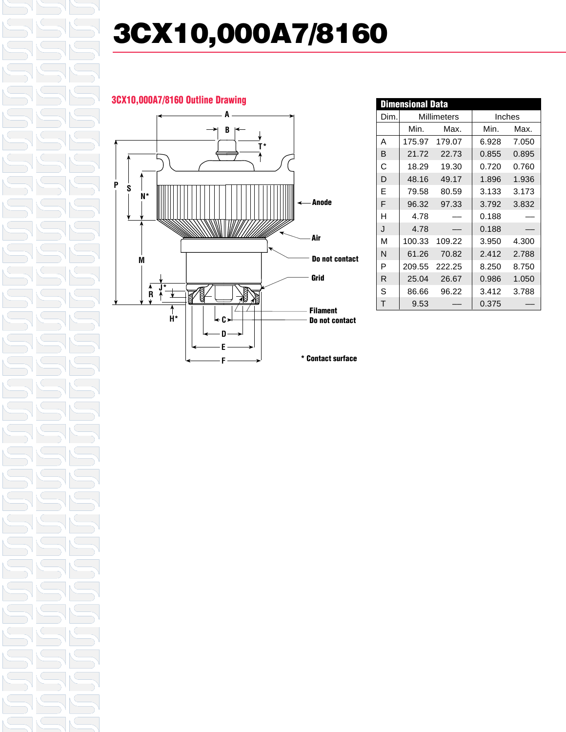# **3CX10,000A7/8160**

### **3CX10,000A7/8160 Outline Drawing**



| <b>Dimensional Data</b> |             |        |        |       |
|-------------------------|-------------|--------|--------|-------|
| Dim.                    | Millimeters |        | Inches |       |
|                         | Min.        | Max.   | Min.   | Max.  |
| А                       | 175.97      | 179.07 | 6.928  | 7.050 |
| В                       | 21.72       | 22.73  | 0.855  | 0.895 |
| C                       | 18.29       | 19.30  | 0.720  | 0.760 |
| D                       | 48.16       | 49.17  | 1.896  | 1.936 |
| F                       | 79.58       | 80.59  | 3.133  | 3.173 |
| F                       | 96.32       | 97.33  | 3.792  | 3.832 |
| н                       | 4.78        |        | 0.188  |       |
| J                       | 4.78        |        | 0.188  |       |
| М                       | 100.33      | 109.22 | 3.950  | 4.300 |
| N                       | 61.26       | 70.82  | 2.412  | 2.788 |
| P                       | 209.55      | 222.25 | 8.250  | 8.750 |
| R                       | 25.04       | 26.67  | 0.986  | 1.050 |
| S                       | 86.66       | 96.22  | 3.412  | 3.788 |
| т                       | 9.53        |        | 0.375  |       |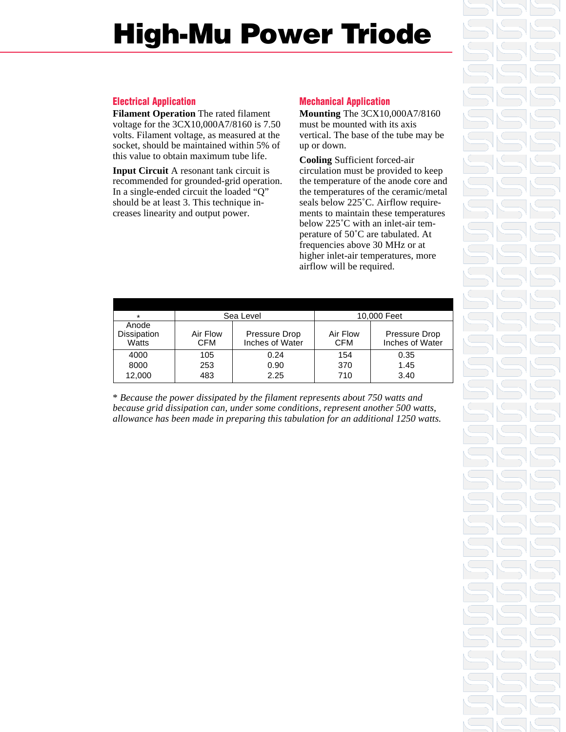## **High-Mu Power Triode**

### **Electrical Application**

**Filament Operation** The rated filament voltage for the 3CX10,000A7/8160 is 7.50 volts. Filament voltage, as measured at the socket, should be maintained within 5% of this value to obtain maximum tube life.

**Input Circuit** A resonant tank circuit is recommended for grounded-grid operation. In a single-ended circuit the loaded "Q" should be at least 3. This technique increases linearity and output power.

### **Mechanical Application**

**Mounting** The 3CX10,000A7/8160 must be mounted with its axis vertical. The base of the tube may be up or down.

**Cooling** Sufficient forced-air circulation must be provided to keep the temperature of the anode core and the temperatures of the ceramic/metal seals below 225˚C. Airflow requirements to maintain these temperatures below 225°C with an inlet-air temperature of 50˚C are tabulated. At frequencies above 30 MHz or at higher inlet-air temperatures, more airflow will be required.

| $\star$                       | Sea Level              |                                  | 10,000 Feet            |                                  |
|-------------------------------|------------------------|----------------------------------|------------------------|----------------------------------|
| Anode<br>Dissipation<br>Watts | Air Flow<br><b>CFM</b> | Pressure Drop<br>Inches of Water | Air Flow<br><b>CFM</b> | Pressure Drop<br>Inches of Water |
| 4000                          | 105                    | 0.24                             | 154                    | 0.35                             |
| 8000                          | 253                    | 0.90                             | 370                    | 1.45                             |
| 12,000                        | 483                    | 2.25                             | 710                    | 3.40                             |

\* *Because the power dissipated by the filament represents about 750 watts and because grid dissipation can, under some conditions, represent another 500 watts, allowance has been made in preparing this tabulation for an additional 1250 watts.*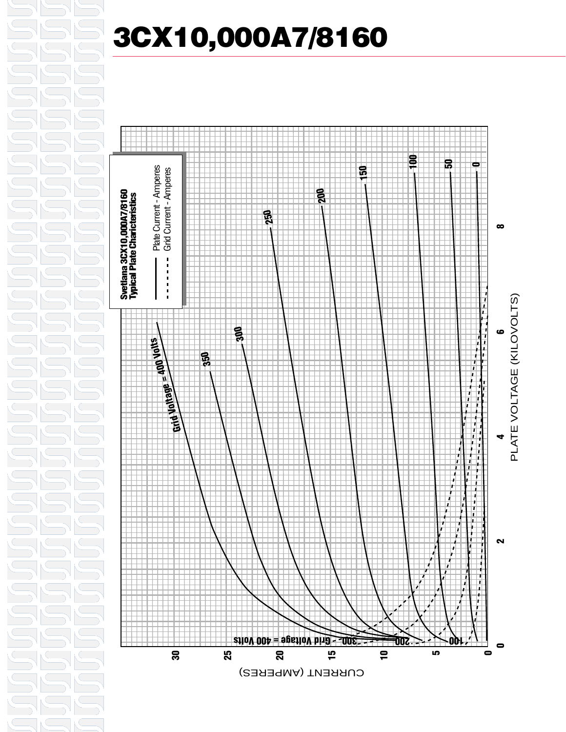

## **3CX10,000A7/8160**